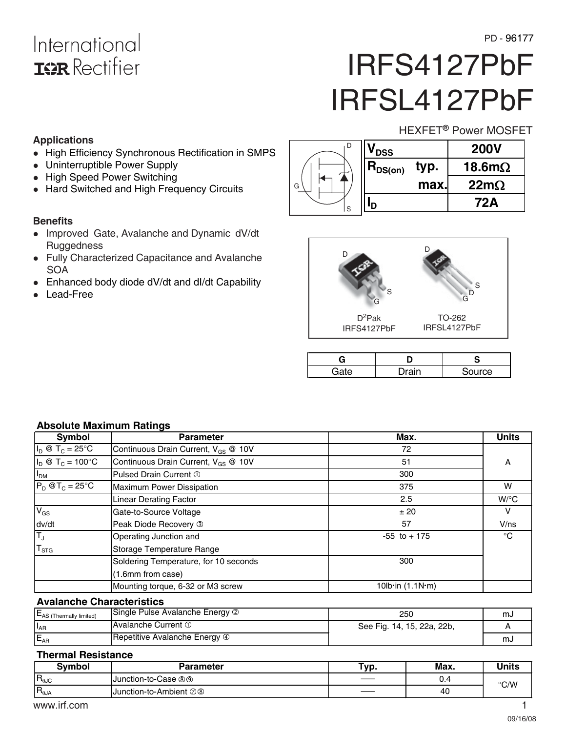## International **ISR** Rectifier

# IRFS4127PbF IRFSL4127PbF

HEXFET<sup>®</sup> Power MOSFET

## **Applications**

- High Efficiency Synchronous Rectification in SMPS
- Uninterruptible Power Supply
- High Speed Power Switching
- Hard Switched and High Frequency Circuits

## **Benefits**

- Improved Gate, Avalanche and Dynamic dV/dt **Ruggedness**
- Fully Characterized Capacitance and Avalanche **SOA**
- Enhanced body diode dV/dt and dI/dt Capability
- -Lead-Free

|   | <b>DSS</b>                     |      | <b>200V</b>    |
|---|--------------------------------|------|----------------|
|   | $\mathsf{H}_{\mathsf{DS}(on)}$ | typ. | 18.6m $\Omega$ |
| G |                                | max. | $22m\Omega$    |
| S |                                |      | 72A            |



| )rain | Source |
|-------|--------|

## **Absolute Maximum Ratings**

| Symbol                              | <b>Parameter</b>                                | Max.                        | <b>Units</b>       |
|-------------------------------------|-------------------------------------------------|-----------------------------|--------------------|
| $I_D \otimes T_C = 25^{\circ}C$     | Continuous Drain Current, V <sub>GS</sub> @ 10V | 72                          |                    |
| $I_D @ T_C = 100°C$                 | Continuous Drain Current, V <sub>GS</sub> @ 10V | 51                          | A                  |
| I <sub>DM</sub>                     | Pulsed Drain Current 1                          | 300                         |                    |
| $P_D @T_C = 25^\circ C$             | <b>Maximum Power Dissipation</b>                | 375                         | W                  |
|                                     | <b>Linear Derating Factor</b>                   | 2.5                         | $W$ <sup>o</sup> C |
| $V_{GS}$                            | Gate-to-Source Voltage                          | ± 20                        |                    |
| dv/dt                               | Peak Diode Recovery 3                           | 57                          | V/ns               |
| $\overline{\mathsf{T}_{\text{J}}}$  | Operating Junction and                          | $-55$ to $+175$             | °C                 |
| $T_{STG}$                           | Storage Temperature Range                       |                             |                    |
|                                     | Soldering Temperature, for 10 seconds           | 300                         |                    |
|                                     | (1.6mm from case)                               |                             |                    |
|                                     | Mounting torque, 6-32 or M3 screw               | 10 $lb$ in $(1.1N \cdot m)$ |                    |
| <b>Avalanche Characteristics</b>    |                                                 |                             |                    |
| E <sub>AS</sub> (Thermally limited) | Single Pulse Avalanche Energy 2                 | 250                         | mJ                 |

#### I<sub>AR</sub> Avalanche Current <sup>1</sup> See Fig. 14, 15, 22a, 22b, E<sub>AR</sub> Repetitive Avalanche Energy **4** and the contract of the contract of the contract of the contract of the contract of the contract of the contract of the contract of the contract of the contract of the contract of the

#### **Thermal Resistance**

| Symbol          | <b>Parameter</b>                | "ур. | Max. | Units |
|-----------------|---------------------------------|------|------|-------|
| $R_{0JC}$       | Junction-to-Case <sup>®</sup>   | ____ | U.4  | °C/W  |
| $R_{\theta JA}$ | <b>IJunction-to-Ambient</b> ⑦ ⑧ | $ -$ | 40   |       |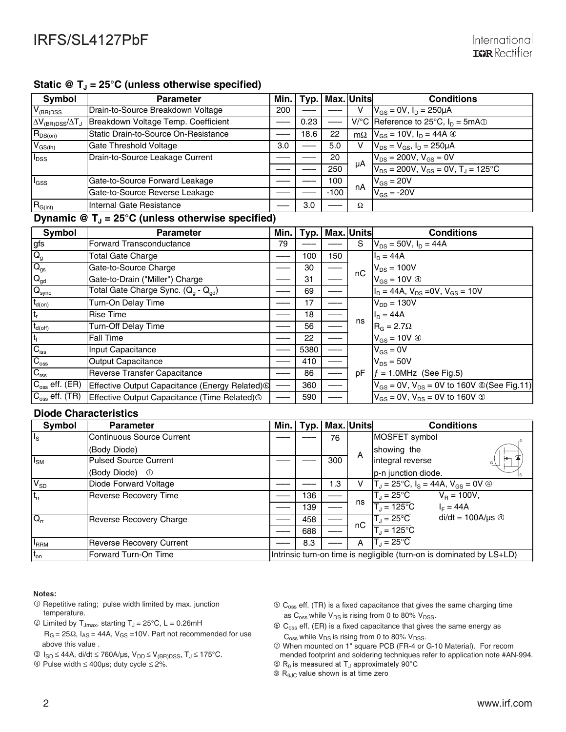## Static @ T<sub>J</sub> = 25°C (unless otherwise specified)

| Symbol                          | <b>Parameter</b>                     |                  | Min.   Typ.   Max. Units |        |    | <b>Conditions</b>                                     |
|---------------------------------|--------------------------------------|------------------|--------------------------|--------|----|-------------------------------------------------------|
| $V_{(BR)DSS}$                   | Drain-to-Source Breakdown Voltage    | 200              |                          |        |    | $V_{GS} = 0V$ , $I_D = 250 \mu A$                     |
| $\Delta V_{(BR)DSS}/\Delta T_J$ | Breakdown Voltage Temp. Coefficient  |                  | 0.23                     |        |    | $V^{\circ}C$ Reference to 25°C, $I_{D} = 5mA$         |
| $R_{DS(on)}$                    | Static Drain-to-Source On-Resistance |                  | 18.6                     | 22     |    | $m\Omega$ $V_{GS} = 10V$ , $I_D = 44A$ $\circledcirc$ |
| $V_{GS(th)}$                    | Gate Threshold Voltage               | 3.0 <sub>2</sub> |                          | 5.0    |    | $V_{DS} = V_{GS}$ , $I_D = 250 \mu A$                 |
| $I_{DSS}$                       | Drain-to-Source Leakage Current      |                  |                          | 20     |    | $V_{DS}$ = 200V, $V_{GS}$ = 0V                        |
|                                 |                                      |                  |                          | 250    | μA | $V_{DS}$ = 200V, $V_{GS}$ = 0V, $T_{J}$ = 125°C       |
| $I_{GSS}$                       | Gate-to-Source Forward Leakage       |                  |                          | 100    |    | $V_{GS}$ = 20V                                        |
|                                 | Gate-to-Source Reverse Leakage       |                  |                          | $-100$ | nA | $V_{GS}$ = -20V                                       |
| $R_{G(int)}$                    | Internal Gate Resistance             |                  | 3.0                      |        | Ω  |                                                       |

#### **Dynamic @ T<sub>J</sub> = 25°C (unless otherwise specified)**

| Symbol                             | <b>Parameter</b>                                             | Min. | ∣ Typ. I |     | Max. Units | <b>Conditions</b>                                   |
|------------------------------------|--------------------------------------------------------------|------|----------|-----|------------|-----------------------------------------------------|
| gfs                                | Forward Transconductance                                     | 79   |          |     | S.         | $V_{DS}$ = 50V, $I_D$ = 44A                         |
| $Q_g$                              | Total Gate Charge                                            |      | 100      | 150 |            | $I_{D} = 44A$                                       |
| $Q_{gs}$                           | Gate-to-Source Charge                                        |      | 30       |     | nC         | $V_{DS}$ = 100V                                     |
| $Q_{gd}$                           | Gate-to-Drain ("Miller") Charge                              |      | 31       |     |            | $V_{GS} = 10V \circledcirc$                         |
| $Q_{sync}$                         | Total Gate Charge Sync. $(Q_q - Q_{qd})$                     |      | 69       |     |            | $I_D = 44A$ , $V_{DS} = 0V$ , $V_{GS} = 10V$        |
| $t_{d(on)}$                        | Turn-On Delay Time                                           |      | 17       |     |            | $V_{DD} = 130V$                                     |
| $t_r$                              | <b>Rise Time</b>                                             |      | 18       |     |            | $I_D = 44A$                                         |
| $t_{d(\text{off})}$                | <b>Turn-Off Delay Time</b>                                   |      | 56       |     | ns         | $RG = 2.7\Omega$                                    |
| $t_f$                              | Fall Time                                                    |      | 22       |     |            | $V_{GS} = 10V \circledcirc$                         |
| $C_{\text{iss}}$                   | Input Capacitance                                            |      | 5380     |     |            | $V_{GS} = 0V$                                       |
| $C_{\rm oss}$                      | <b>Output Capacitance</b>                                    |      | 410      |     |            | $V_{DS} = 50V$                                      |
| $C_{\text{rss}}$                   | Reverse Transfer Capacitance                                 |      | 86       |     | рF         | $f = 1.0$ MHz (See Fig.5)                           |
| $\overline{C_{\rm oss}}$ eff. (ER) | Effective Output Capacitance (Energy Related) <sup>(6)</sup> |      | 360      |     |            | $V_{GS}$ = 0V, $V_{DS}$ = 0V to 160V © (See Fig.11) |
| $C_{\rm oss}$ eff. (TR)            | Effective Output Capacitance (Time Related) <sup>(3)</sup>   |      | 590      |     |            | $V_{GS}$ = 0V, $V_{DS}$ = 0V to 160V $\circ$        |

#### **Diode Characteristics**

| Symbol          | <b>Parameter</b>                 | Min. |     |     | Typ.   Max. Units | <b>Conditions</b>                                                    |
|-----------------|----------------------------------|------|-----|-----|-------------------|----------------------------------------------------------------------|
| Ils             | <b>Continuous Source Current</b> |      |     | 76  |                   | MOSFET symbol                                                        |
|                 | (Body Diode)                     |      |     |     | A                 | showing the                                                          |
| $I_{\text{SM}}$ | <b>Pulsed Source Current</b>     |      |     | 300 |                   | integral reverse<br>G)                                               |
|                 | (Body Diode)<br>- ①              |      |     |     |                   | p-n junction diode.                                                  |
| $V_{SD}$        | Diode Forward Voltage            |      |     | 1.3 |                   | $T_J = 25^{\circ}C$ , $I_S = 44A$ , $V_{GS} = 0V$ $\circledcirc$     |
| $t_{rr}$        | <b>Reverse Recovery Time</b>     |      | 136 |     |                   | $T_J = 25^{\circ}C$<br>$V_B = 100V,$                                 |
|                 |                                  |      | 139 |     | ns                | $T_{\text{J}} = 125^{\circ}$ C<br>$I_F = 44A$                        |
| $Q_{rr}$        | Reverse Recovery Charge          |      | 458 |     | nC                | $di/dt = 100A/\mu s$ $\circledcirc$<br>$T_J = 25^{\circ}C$           |
|                 |                                  |      | 688 |     |                   | $T_{\text{J}}$ = 125°C                                               |
| <b>FRRM</b>     | <b>Reverse Recovery Current</b>  |      | 8.3 |     | A                 | $T_1 = 25^{\circ}$ C                                                 |
| $t_{on}$        | Forward Turn-On Time             |      |     |     |                   | Intrinsic turn-on time is negligible (turn-on is dominated by LS+LD) |

#### Notes:

- $O$  Repetitive rating; pulse width limited by max. junction temperature.
- $\textcircled{1}$  Limited by T<sub>Jmax</sub>, starting T<sub>J</sub> = 25°C, L = 0.26mH  $R_G = 25\Omega$ ,  $I_{AS} = 44A$ ,  $V_{GS} = 10V$ . Part not recommended for use above this value .
- $\textcircled{3}$  I<sub>SD</sub> ≤ 44A, di/dt ≤ 760A/μs, V<sub>DD</sub> ≤ V<sub>(BR)DSS</sub>, T<sub>J</sub> ≤ 175°C.

Pulse width ≤ 400µs; duty cycle ≤ 2%.

- $\circled{C}_{\text{oss}}$  eff. (TR) is a fixed capacitance that gives the same charging time as  $C_{\text{oss}}$  while  $V_{DS}$  is rising from 0 to 80%  $V_{DSS}$ .
- $\circledR$  C<sub>oss</sub> eff. (ER) is a fixed capacitance that gives the same energy as  $C_{\text{oss}}$  while  $V_{DS}$  is rising from 0 to 80%  $V_{DSS}$ .
- When mounted on 1" square PCB (FR-4 or G-10 Material). For recom
- mended footprint and soldering techniques refer to application note #AN-994.
- $\circledR_\theta$  is measured at T<sub>J</sub> approximately 90°C

 $\circledR_{\theta$ J<sub>C</sub> value shown is at time zero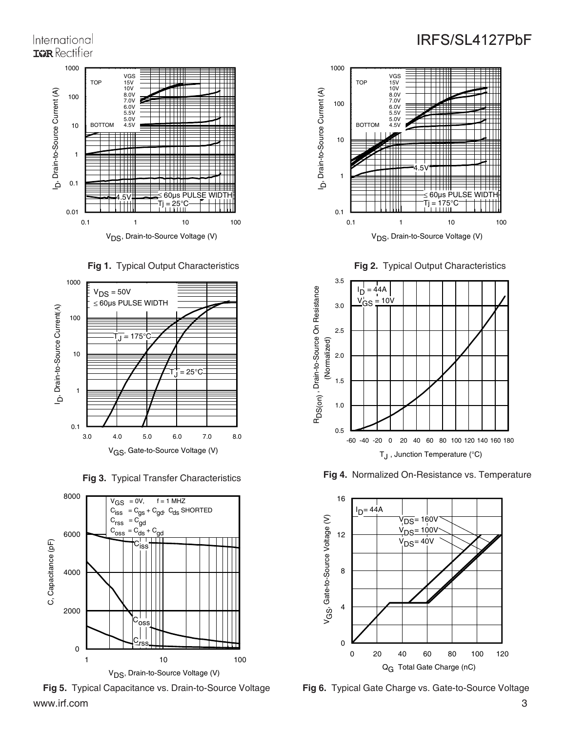## International **IGR** Rectifier









www.irf.com 3 **Fig 5.** Typical Capacitance vs. Drain-to-Source Voltage **Fig 6.** Typical Gate Charge vs. Gate-to-Source Voltage



**Fig 2.** Typical Output Characteristics



**Fig 3.** Typical Transfer Characteristics **Fig 4.** Normalized On-Resistance vs. Temperature

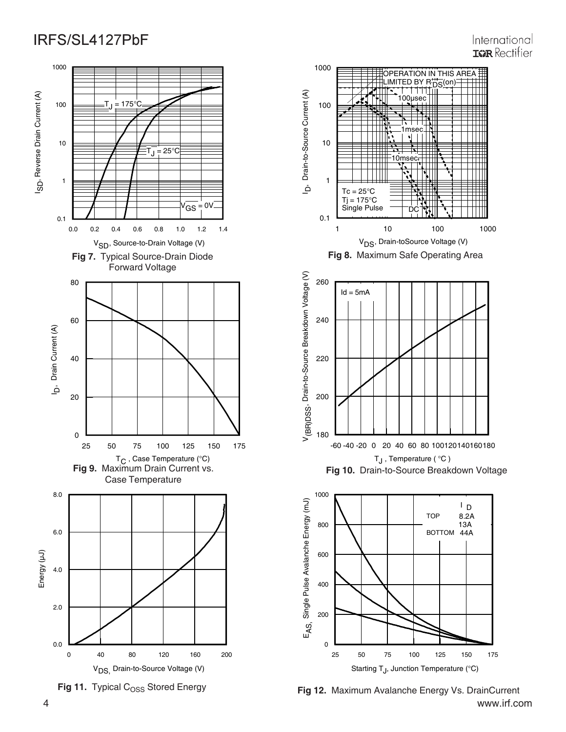







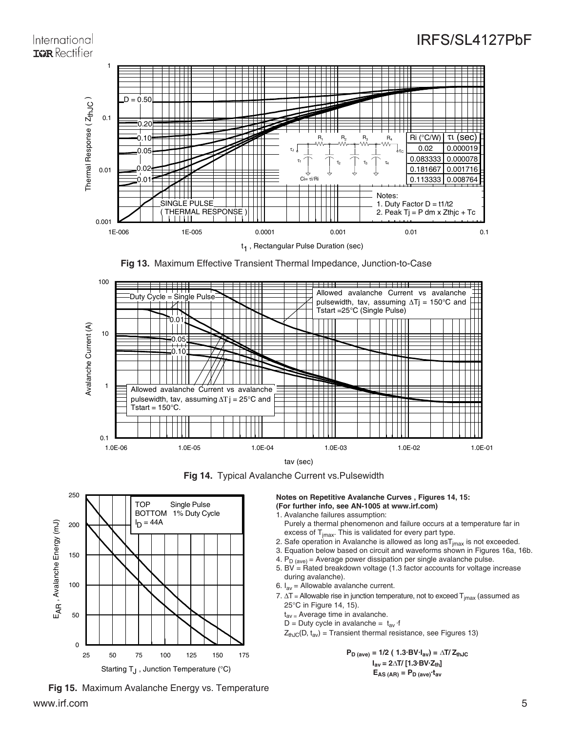## International **IGR** Rectifier



**Fig 13.** Maximum Effective Transient Thermal Impedance, Junction-to-Case



**Fig 14.** Typical Avalanche Current vs.Pulsewidth



www.irf.com 5 **Fig 15.** Maximum Avalanche Energy vs. Temperature

**Notes on Repetitive Avalanche Curves , Figures 14, 15: (For further info, see AN-1005 at www.irf.com)** 1. Avalanche failures assumption:

- Purely a thermal phenomenon and failure occurs at a temperature far in excess of  $T<sub>imax</sub>$ . This is validated for every part type.
- 2. Safe operation in Avalanche is allowed as long  $a s T_{jmax}$  is not exceeded.
- 3. Equation below based on circuit and waveforms shown in Figures 16a, 16b.
- 4.  $P_{D (ave)} =$  Average power dissipation per single avalanche pulse.
- 5. BV =  $Rated$  breakdown voltage (1.3 factor accounts for voltage increase during avalanche).
- 6.  $I_{av}$  = Allowable avalanche current.
- 7.  $\Delta T$  = Allowable rise in junction temperature, not to exceed  $T_{jmax}$  (assumed as 25°C in Figure 14, 15).
	- $t_{av}$  = Average time in avalanche.
	- D = Duty cycle in avalanche =  $t_{av}$  ·f
	- $Z_{thJC}(D, t_{av})$  = Transient thermal resistance, see Figures 13)

 $P_{D \text{ (ave)}} = 1/2 (1.3 \cdot B) \cdot I_{av} = \Delta T / Z_{thJC}$  $I_{\text{av}} = 2\Delta T / [1.3 \text{ BV Z}_{\text{th}}]$  $E_{AS (AR)} = P_{D (ave)} t_{av}$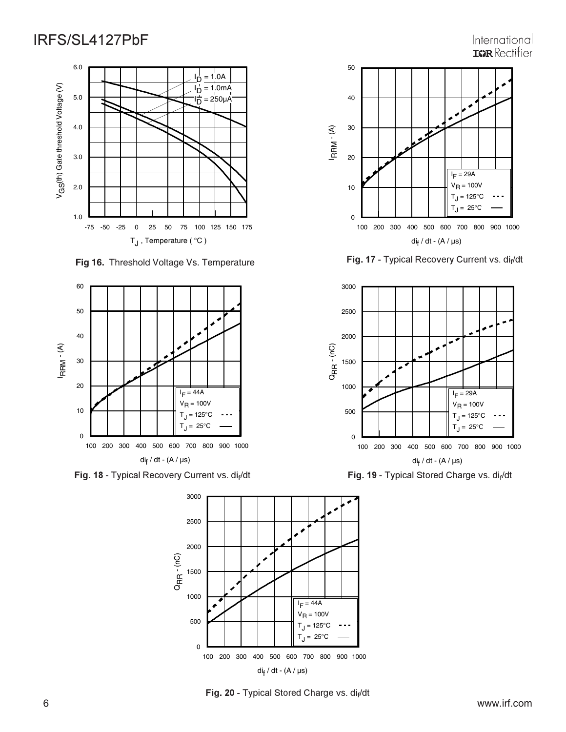-75 -50 -25 0 25 50 75 100 125 150 175 T<sub>J</sub>, Temperature (°C) 1.0 2.0 3.0 4.0 5.0 6.0 V G S(th) Gate threshold Voltage (V) D  $1.0A$ ים  $= 1.0$ m $A$ I  $250 \mu A$ 

 **Fig 16.** Threshold Voltage Vs. Temperature



**Fig. 18** - Typical Recovery Current vs. di<sub>f</sub>/dt **Fig. 19** - Typical Stored Charge vs. di<sub>f</sub>



**Fig. 20 - Typical Stored Charge vs. dif/dt** 



International

**Fig. 17 -** Typical R



ecovery Current vs. di<sub>f</sub>/dt **being a set of the Secovery Current vs. di<sub>f</sub>/dt Fig. 19** - Typical Stored Charge vs. di<sub>f</sub>/dt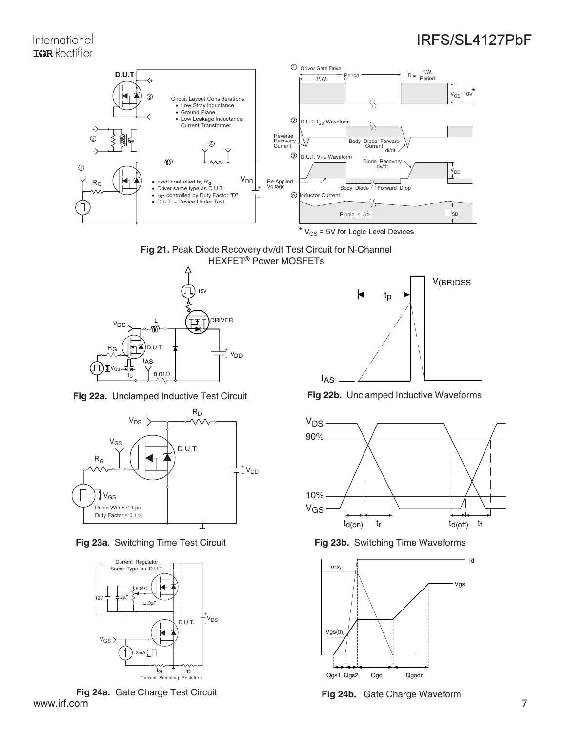## International **IGR** Rectifier



\*  $V_{GS}$  = 5V for Logic Level Devices







**Fig 23a.** Switching Time Test Circuit **Fig 23b.** Switching Time Waveforms



www.irf.com 7 **Fig 24a.** Gate Charge Test Circuit **Fig 24b.** Gate Charge Waveform www.irf.com



**Fig 22a.** Unclamped Inductive Test Circuit **Fig 22b.** Unclamped Inductive Waveforms



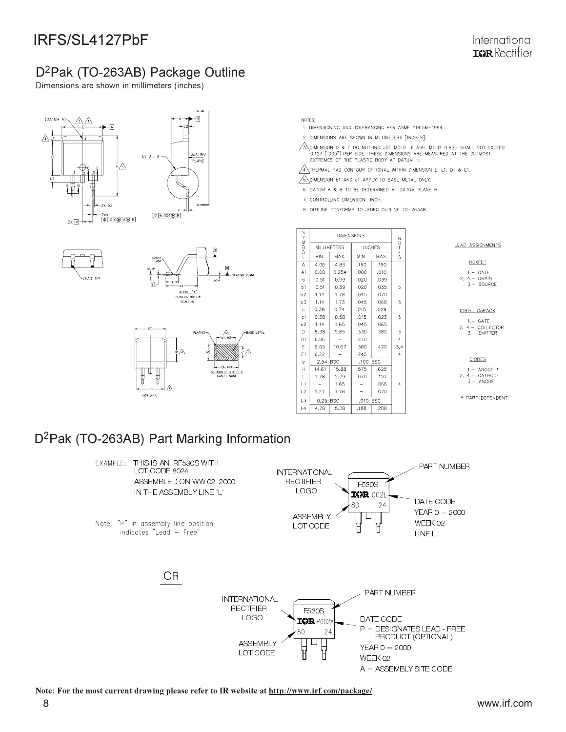## D<sup>2</sup>Pak (TO-263AB) Package Outline

Dimensions are shown in millimeters (inches)











- NOTES:
- 1. DIMENSIONING AND TOLERANCING PER ASME Y14.5M-1994
- 2. DIMENSIONS ARE SHOWN IN MILLIMETERS [INCHES].
- $\sqrt{3}$  dimension d & E do not include Mold Flash. Mold flash shall not exceed O.127 [.005"] PER SIDE. THESE DIMENSIONS ARE MEASURED AT THE OUTMOST<br>EXTREMES OF THE PLASTIC BODY AT DATUM H.

 $\sqrt{4}$  THERMAL PAD CONTOUR OPTIONAL WITHIN DIMENSION E, L1, D1 & E1.

- SUMENSION B1 AND C1 APPLY TO BASE METAL ONLY.
- 6. DATUM A & B TO BE DETERMINED AT DATUM PLANE H.
- 7. CONTROLLING DIMENSION: INCH.
- 8. OUTLINE CONFORMS TO JEDEC OUTLINE TO-263AB.

|                |       |                    | <b>DIMENSIONS</b> |               |                |  |
|----------------|-------|--------------------|-------------------|---------------|----------------|--|
| 00000          |       | <b>MILLIMETERS</b> |                   | <b>INCHES</b> | 20700          |  |
| L              | MIN.  | MAX.               | MIN.              | MAX.          |                |  |
| A              | 4.06  | 4.83               | .160              | .190          |                |  |
| A <sub>1</sub> | 0.00  | 0.254              | .000              | .010          |                |  |
| b              | 0.51  | 0.99               | .020              | .039          |                |  |
| b1             | 0.51  | 0.89               | .020              | .035          | 5              |  |
| b2             | 1,14  | 1,78               | .045              | .070          |                |  |
| b3             | 1.14  | 1.73               | .045              | .068          | 5              |  |
| $\mathbf{c}$   | 0.38  | 0.74               | .015              | .029          |                |  |
| c1             | 0.38  | 0.58               | .015              | .023          | 5              |  |
| c2             | 1.14  | 1.65               | .045              | .065          |                |  |
| D              | 8.38  | 9.65               | .330              | .380          | 3              |  |
| D <sub>1</sub> | 6.86  |                    | .270              |               | $\overline{4}$ |  |
| E              | 9.65  | 10.67              | .380              | .420          | 3,4            |  |
| E1             | 6.22  |                    | .245              |               | $\overline{4}$ |  |
| $\epsilon$     | 2.54  | <b>BSC</b>         | ,100              | <b>BSC</b>    |                |  |
| Н              | 14.61 | 15.88              | .575              | .625          |                |  |
| L              | 1,78  | 2.79               | .070              | .110          |                |  |
| L1             |       | 1.65               |                   | .066          | $\overline{4}$ |  |
| L2             | 1,27  | 1,78               |                   | .070          |                |  |
| L3             | 0.25  | <b>BSC</b>         | .010              | <b>BSC</b>    |                |  |
| L4             | 4.78  | 5.28               | .188              | .208          |                |  |

**LEAD ASSIGNMENTS** 

HEXFET  $1 - GATE$  $2, 4 - DRAIN$ <br> $3 - SOURCE$ 

IGBTs, CoPACK  $1 - GATE$ 

2,  $4 - \text{COLLECTOR}$ <br>3. - EMITTER

#### **DIODES**

 $1 - ANODF$ 4. CATHODE<br>3. - ANODE

\* PART DEPENDENT.

D<sup>2</sup>Pak (TO-263AB) Part Marking Information



Note: For the most current drawing please refer to IR website at http://www.irf.com/package/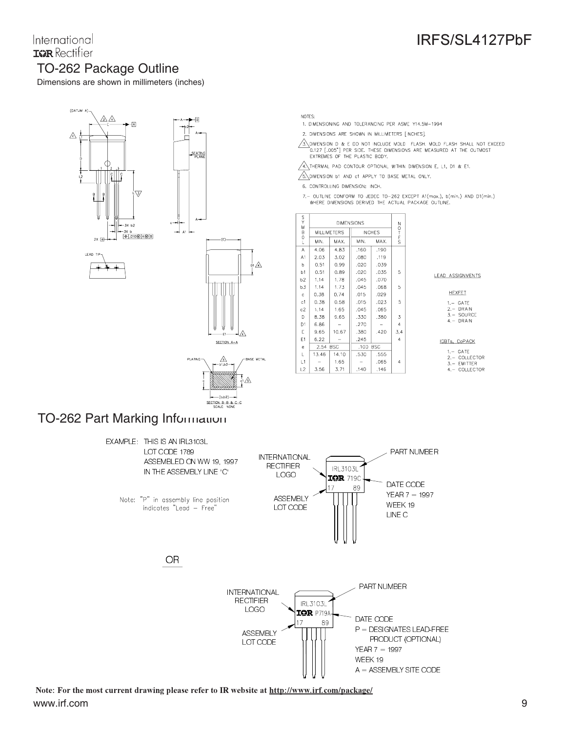## International **IGR** Rectifier TO-262 Package Outline

Dimensions are shown in millimeters (inches)



- NOTES:
- 1. DIMENSIONING AND TOLERANCING PER ASME Y14,5M-1994
- 2. DIMENSIONS ARE SHOWN IN MILLIMETERS [INCHES].
- $\sqrt{3}$ \DIMENSION D & E DO NOT INCLUDE MOLD FLASH, MOLD FLASH SHALL NOT EXCEED 0.127 [.005"] PER SIDE. THESE DIMENSIONS ARE MEASURED AT THE OUTMOST EXTREMES OF THE PLASTIC BODY.
- $\sqrt{4}$ . THERMAL PAD CONTOUR OPTIONAL WITHIN DIMENSION E, L1, D1 & E1.
- S. DIMENSION B1 AND c1 APPLY TO BASE METAL ONLY.
- 6. CONTROLLING DIMENSION: INCH.
- 7. OUTLINE CONFORM TO JEDEC TO-262 EXCEPT A1(max.), b(min.) AND D1(min.) WHERE DIMENSIONS DERIVED THE ACTUAL PACKAGE OUTLINE.

| S<br>Y         | <b>DIMENSIONS</b> |                                     |                    |      |                |  |
|----------------|-------------------|-------------------------------------|--------------------|------|----------------|--|
| Ń<br>B         |                   | <b>MILLIMETERS</b><br><b>INCHES</b> |                    |      | $0$ T E S      |  |
| o<br>L         | MIN.              | MAX.                                | MIN.               | MAX. |                |  |
| A              | 4.06              | 4.83                                | .160               | .190 |                |  |
| A1             | 2.03              | 3.02                                | .080               | .119 |                |  |
| p              | 0.51              | 0.99                                | .020               | .039 |                |  |
| b1             | 0.51              | 0.89                                | .020               | .035 | 5              |  |
| b <sub>2</sub> | 1.14              | 1.78                                | .045               | .070 |                |  |
| b3             | 1.14              | 1.73                                | .045               | .068 | 5              |  |
| $\mathbf{c}$   | 0.38              | 0.74                                | .015               | .029 |                |  |
| c1             | 0.38              | 0.58                                | .015               | .023 | 5              |  |
| c2             | 1.14              | 1.65                                | .045               | .065 |                |  |
| D              | 8.38              | 9.65                                | .330               | .380 | 3              |  |
| D <sub>1</sub> | 6.86              |                                     | .270               |      | $\overline{4}$ |  |
| Ε              | 9.65              | 10.67                               | .380               | .420 | 3,4            |  |
| E <sub>1</sub> | 6.22              |                                     | .245               |      | 4              |  |
| e              | 2.54              | <b>BSC</b>                          | ,100<br><b>BSC</b> |      |                |  |
| L              | 13.46             | 14.10                               | .530               | .555 |                |  |
| L1             |                   | 1,65                                |                    | .065 | 4              |  |
| L2             | 3.56              | 3,71                                | .140               | .146 |                |  |

#### LEAD ASSIGNMENTS

IRFS/SL4127PbF

#### **HEXFET**  $1 - GATE$

 $2. -$  DRAIN<br>3. - SOURCE  $4 - DRAIN$ 

#### IGBTs, CoPACK

- $1. \ \ \mathsf{GATE}$
- 2. = COLLECTOR<br>3. = EMITTER<br>4. = COLLECTOR
- 

## **TO-262 Part Marking Information**



Note: For the most current drawing please refer to IR website at http://www.irf.com/package/ www.irf.com

SECTION B-B & C<br>SCALE: NONE